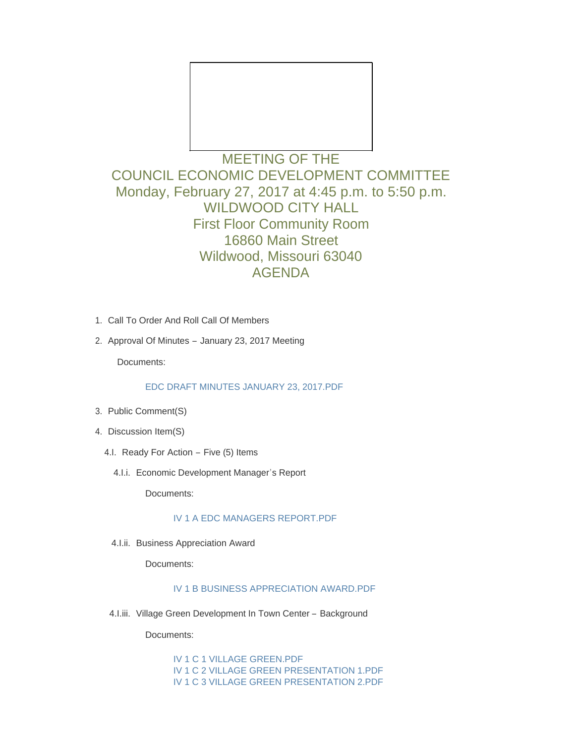

# MEETING OF THE COUNCIL ECONOMIC DEVELOPMENT COMMITTEE Monday, February 27, 2017 at 4:45 p.m. to 5:50 p.m. WILDWOOD CITY HALL First Floor Community Room 16860 Main Street Wildwood, Missouri 63040 AGENDA

- 1. Call To Order And Roll Call Of Members
- 2. Approval Of Minutes January 23, 2017 Meeting

Documents:

#### [EDC DRAFT MINUTES JANUARY 23, 2017.PDF](http://cityofwildwood.com/AgendaCenter/ViewFile/Item/9846?fileID=14368)

- 3. Public Comment(S)
- 4. Discussion Item(S)
	- 4.I. Ready For Action Five (5) Items
		- 4.I.i. Economic Development Manager's Report

Documents:

## [IV 1 A EDC MANAGERS REPORT.PDF](http://cityofwildwood.com/AgendaCenter/ViewFile/Item/9850?fileID=14347)

4.I.ii. Business Appreciation Award

Documents:

## [IV 1 B BUSINESS APPRECIATION AWARD.PDF](http://cityofwildwood.com/AgendaCenter/ViewFile/Item/9851?fileID=14348)

4.I.iii. Village Green Development In Town Center - Background

Documents:

[IV 1 C 1 VILLAGE GREEN.PDF](http://cityofwildwood.com/AgendaCenter/ViewFile/Item/9852?fileID=14349) [IV 1 C 2 VILLAGE GREEN PRESENTATION 1.PDF](http://cityofwildwood.com/AgendaCenter/ViewFile/Item/9852?fileID=14350) [IV 1 C 3 VILLAGE GREEN PRESENTATION 2.PDF](http://cityofwildwood.com/AgendaCenter/ViewFile/Item/9852?fileID=14351)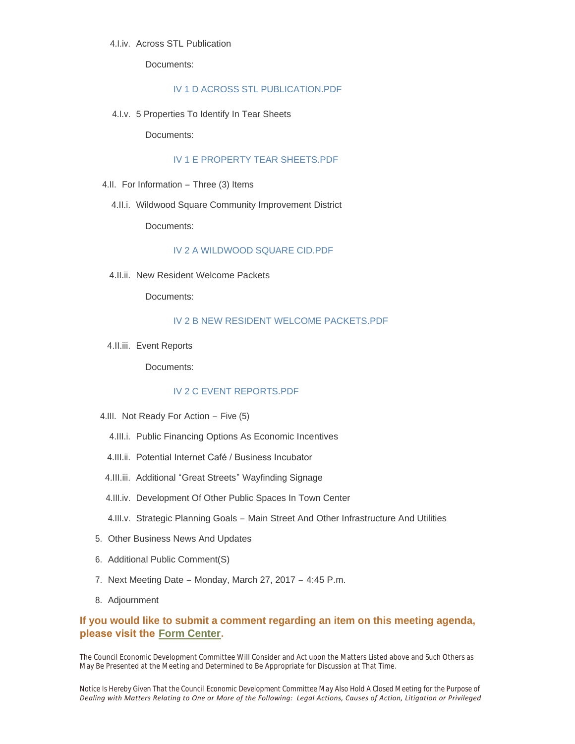#### 4.I.iv. Across STL Publication

Documents:

#### [IV 1 D ACROSS STL PUBLICATION.PDF](http://cityofwildwood.com/AgendaCenter/ViewFile/Item/9853?fileID=14352)

5 Properties To Identify In Tear Sheets 4.I.v.

Documents:

#### [IV 1 E PROPERTY TEAR SHEETS.PDF](http://cityofwildwood.com/AgendaCenter/ViewFile/Item/9854?fileID=14353)

- 4.II. For Information Three (3) Items
	- 4.II.i. Wildwood Square Community Improvement District

Documents:

## [IV 2 A WILDWOOD SQUARE CID.PDF](http://cityofwildwood.com/AgendaCenter/ViewFile/Item/9856?fileID=14354)

4.II.ii. New Resident Welcome Packets

Documents:

### [IV 2 B NEW RESIDENT WELCOME PACKETS.PDF](http://cityofwildwood.com/AgendaCenter/ViewFile/Item/9857?fileID=14355)

4.II.iii. Event Reports

Documents:

#### [IV 2 C EVENT REPORTS.PDF](http://cityofwildwood.com/AgendaCenter/ViewFile/Item/9858?fileID=14356)

- 4.III. Not Ready For Action Five (5)
	- 4.III.i. Public Financing Options As Economic Incentives
	- 4.III.ii. Potential Internet Café / Business Incubator
- 4.III.iii. Additional "Great Streets" Wayfinding Signage
- 4.III.iv. Development Of Other Public Spaces In Town Center
- 4.III.v. Strategic Planning Goals Main Street And Other Infrastructure And Utilities
- 5. Other Business News And Updates
- 6. Additional Public Comment(S)
- 7. Next Meeting Date Monday, March 27, 2017 4:45 P.m.
- 8. Adjournment

## **If you would like to submit a comment regarding an item on this meeting agenda, please visit the [Form Center.](http://mo-wildwood.civicplus.com/FormCenter/Planning-Department-5/Public-Hearing-Comment-Form-48)**

The Council Economic Development Committee Will Consider and Act upon the Matters Listed above and Such Others as May Be Presented at the Meeting and Determined to Be Appropriate for Discussion at That Time.

*Notice Is Hereby Given That the Council Economic Development Committee May Also Hold A Closed Meeting for the Purpose of Dealing with Matters Relating to One or More of the Following: Legal Actions, Causes of Action, Litigation or Privileged*